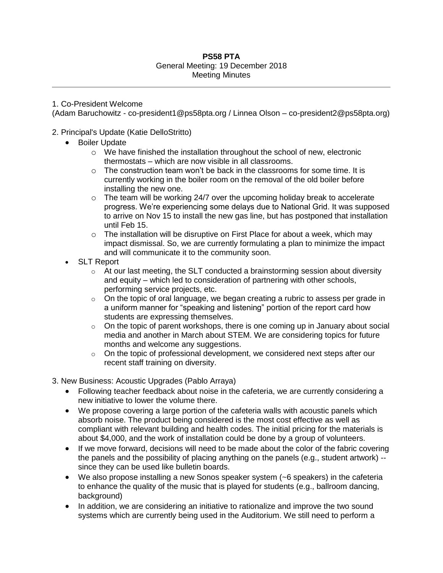## **PS58 PTA** General Meeting: 19 December 2018 Meeting Minutes

## 1. Co-President Welcome

(Adam Baruchowitz - co-president1@ps58pta.org / Linnea Olson – co-president2@ps58pta.org)

## 2. Principal's Update (Katie DelloStritto)

- **•** Boiler Update
	- $\circ$  We have finished the installation throughout the school of new, electronic thermostats – which are now visible in all classrooms.
	- $\circ$  The construction team won't be back in the classrooms for some time. It is currently working in the boiler room on the removal of the old boiler before installing the new one.
	- $\circ$  The team will be working 24/7 over the upcoming holiday break to accelerate progress. We're experiencing some delays due to National Grid. It was supposed to arrive on Nov 15 to install the new gas line, but has postponed that installation until Feb 15.
	- $\circ$  The installation will be disruptive on First Place for about a week, which may impact dismissal. So, we are currently formulating a plan to minimize the impact and will communicate it to the community soon.
- SLT Report
	- $\circ$  At our last meeting, the SLT conducted a brainstorming session about diversity and equity – which led to consideration of partnering with other schools, performing service projects, etc.
	- $\circ$  On the topic of oral language, we began creating a rubric to assess per grade in a uniform manner for "speaking and listening" portion of the report card how students are expressing themselves.
	- $\circ$  On the topic of parent workshops, there is one coming up in January about social media and another in March about STEM. We are considering topics for future months and welcome any suggestions.
	- $\circ$  On the topic of professional development, we considered next steps after our recent staff training on diversity.
- 3. New Business: Acoustic Upgrades (Pablo Arraya)
	- Following teacher feedback about noise in the cafeteria, we are currently considering a new initiative to lower the volume there.
	- We propose covering a large portion of the cafeteria walls with acoustic panels which absorb noise. The product being considered is the most cost effective as well as compliant with relevant building and health codes. The initial pricing for the materials is about \$4,000, and the work of installation could be done by a group of volunteers.
	- If we move forward, decisions will need to be made about the color of the fabric covering the panels and the possibility of placing anything on the panels (e.g., student artwork) - since they can be used like bulletin boards.
	- We also propose installing a new Sonos speaker system (~6 speakers) in the cafeteria to enhance the quality of the music that is played for students (e.g., ballroom dancing, background)
	- In addition, we are considering an initiative to rationalize and improve the two sound systems which are currently being used in the Auditorium. We still need to perform a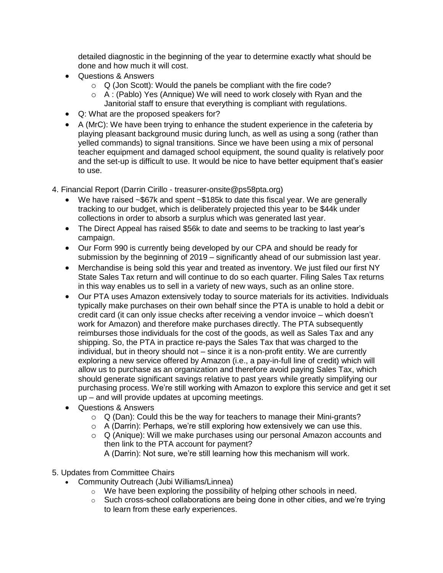detailed diagnostic in the beginning of the year to determine exactly what should be done and how much it will cost.

- Questions & Answers
	- $\circ$  Q (Jon Scott): Would the panels be compliant with the fire code?
	- o A : (Pablo) Yes (Annique) We will need to work closely with Ryan and the Janitorial staff to ensure that everything is compliant with regulations.
- Q: What are the proposed speakers for?
- A (MrC): We have been trying to enhance the student experience in the cafeteria by playing pleasant background music during lunch, as well as using a song (rather than yelled commands) to signal transitions. Since we have been using a mix of personal teacher equipment and damaged school equipment, the sound quality is relatively poor and the set-up is difficult to use. It would be nice to have better equipment that's easier to use.
- 4. Financial Report (Darrin Cirillo treasurer-onsite@ps58pta.org)
	- We have raised ~\$67k and spent ~\$185k to date this fiscal year. We are generally tracking to our budget, which is deliberately projected this year to be \$44k under collections in order to absorb a surplus which was generated last year.
	- The Direct Appeal has raised \$56k to date and seems to be tracking to last year's campaign.
	- Our Form 990 is currently being developed by our CPA and should be ready for submission by the beginning of 2019 – significantly ahead of our submission last year.
	- Merchandise is being sold this year and treated as inventory. We just filed our first NY State Sales Tax return and will continue to do so each quarter. Filing Sales Tax returns in this way enables us to sell in a variety of new ways, such as an online store.
	- Our PTA uses Amazon extensively today to source materials for its activities. Individuals typically make purchases on their own behalf since the PTA is unable to hold a debit or credit card (it can only issue checks after receiving a vendor invoice – which doesn't work for Amazon) and therefore make purchases directly. The PTA subsequently reimburses those individuals for the cost of the goods, as well as Sales Tax and any shipping. So, the PTA in practice re-pays the Sales Tax that was charged to the individual, but in theory should not – since it is a non-profit entity. We are currently exploring a new service offered by Amazon (i.e., a pay-in-full line of credit) which will allow us to purchase as an organization and therefore avoid paying Sales Tax, which should generate significant savings relative to past years while greatly simplifying our purchasing process. We're still working with Amazon to explore this service and get it set up – and will provide updates at upcoming meetings.
	- Questions & Answers
		- o Q (Dan): Could this be the way for teachers to manage their Mini-grants?
		- o A (Darrin): Perhaps, we're still exploring how extensively we can use this.
		- o Q (Anique): Will we make purchases using our personal Amazon accounts and then link to the PTA account for payment?
			- A (Darrin): Not sure, we're still learning how this mechanism will work.
- 5. Updates from Committee Chairs
	- Community Outreach (Jubi Williams/Linnea)
		- o We have been exploring the possibility of helping other schools in need.
		- $\circ$  Such cross-school collaborations are being done in other cities, and we're trying to learn from these early experiences.